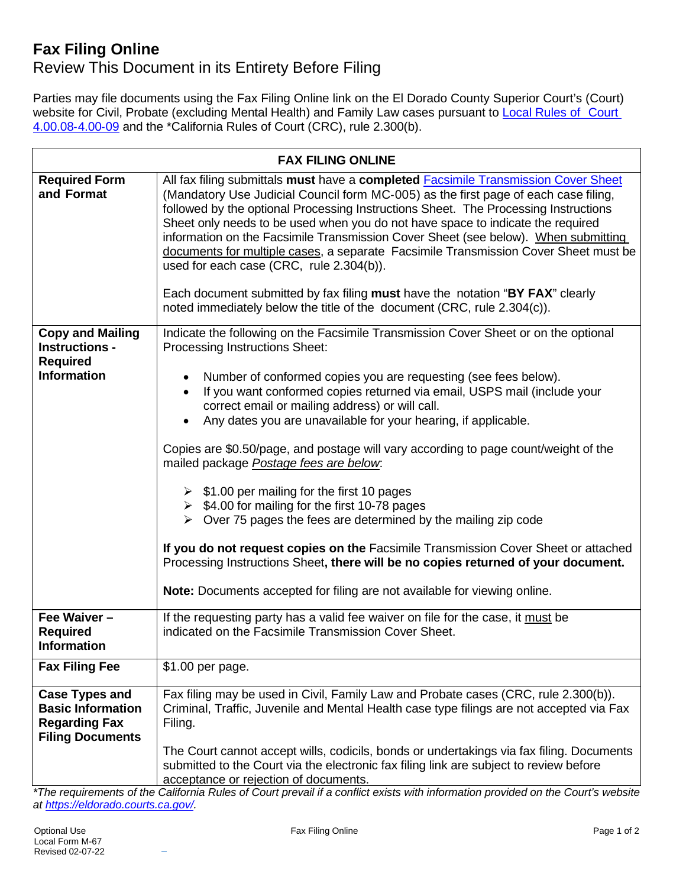## **Fax Filing Online**

## Review This Document in its Entirety Before Filing

Parties may file documents using the Fax Filing Online link on the El Dorado County Superior Court's (Court) website for Civil, Probate (excluding Mental Health) and Family Law cases pursuant to Local [Rules](https://eldorado.courts.ca.gov/sites/default/files/eldorado/default/2021-08/Local%20Rules_Jul_2021_FINAL.pdf) of Court [4.00.08](https://eldorado.courts.ca.gov/sites/default/files/eldorado/default/2021-08/Local%20Rules_Jul_2021_FINAL.pdf)‐4.00‐09 and the \*California Rules of Court (CRC), rule 2.300(b).

| <b>FAX FILING ONLINE</b>                                                                             |                                                                                                                                                                                                                                                                                                                                                                                                                                                                                                                                                                                                                                                                                                                                                                                                                                                                                 |
|------------------------------------------------------------------------------------------------------|---------------------------------------------------------------------------------------------------------------------------------------------------------------------------------------------------------------------------------------------------------------------------------------------------------------------------------------------------------------------------------------------------------------------------------------------------------------------------------------------------------------------------------------------------------------------------------------------------------------------------------------------------------------------------------------------------------------------------------------------------------------------------------------------------------------------------------------------------------------------------------|
| <b>Required Form</b><br>and Format                                                                   | All fax filing submittals must have a completed <b>Facsimile Transmission Cover Sheet</b><br>(Mandatory Use Judicial Council form MC-005) as the first page of each case filing,<br>followed by the optional Processing Instructions Sheet. The Processing Instructions<br>Sheet only needs to be used when you do not have space to indicate the required<br>information on the Facsimile Transmission Cover Sheet (see below). When submitting<br>documents for multiple cases, a separate Facsimile Transmission Cover Sheet must be<br>used for each case (CRC, rule 2.304(b)).<br>Each document submitted by fax filing must have the notation "BY FAX" clearly<br>noted immediately below the title of the document (CRC, rule 2.304(c)).                                                                                                                                 |
| <b>Copy and Mailing</b><br><b>Instructions -</b>                                                     | Indicate the following on the Facsimile Transmission Cover Sheet or on the optional<br>Processing Instructions Sheet:                                                                                                                                                                                                                                                                                                                                                                                                                                                                                                                                                                                                                                                                                                                                                           |
| <b>Required</b><br><b>Information</b>                                                                | Number of conformed copies you are requesting (see fees below).<br>٠<br>If you want conformed copies returned via email, USPS mail (include your<br>correct email or mailing address) or will call.<br>Any dates you are unavailable for your hearing, if applicable.<br>Copies are \$0.50/page, and postage will vary according to page count/weight of the<br>mailed package Postage fees are below.<br>$\triangleright$ \$1.00 per mailing for the first 10 pages<br>$\triangleright$ \$4.00 for mailing for the first 10-78 pages<br>$\triangleright$ Over 75 pages the fees are determined by the mailing zip code<br>If you do not request copies on the Facsimile Transmission Cover Sheet or attached<br>Processing Instructions Sheet, there will be no copies returned of your document.<br>Note: Documents accepted for filing are not available for viewing online. |
| Fee Waiver $-$<br><b>Required</b><br>Information                                                     | If the requesting party has a valid fee waiver on file for the case, it must be<br>indicated on the Facsimile Transmission Cover Sheet.                                                                                                                                                                                                                                                                                                                                                                                                                                                                                                                                                                                                                                                                                                                                         |
| <b>Fax Filing Fee</b>                                                                                | \$1.00 per page.                                                                                                                                                                                                                                                                                                                                                                                                                                                                                                                                                                                                                                                                                                                                                                                                                                                                |
| <b>Case Types and</b><br><b>Basic Information</b><br><b>Regarding Fax</b><br><b>Filing Documents</b> | Fax filing may be used in Civil, Family Law and Probate cases (CRC, rule 2.300(b)).<br>Criminal, Traffic, Juvenile and Mental Health case type filings are not accepted via Fax<br>Filing.                                                                                                                                                                                                                                                                                                                                                                                                                                                                                                                                                                                                                                                                                      |
|                                                                                                      | The Court cannot accept wills, codicils, bonds or undertakings via fax filing. Documents<br>submitted to the Court via the electronic fax filing link are subject to review before<br>acceptance or rejection of documents.                                                                                                                                                                                                                                                                                                                                                                                                                                                                                                                                                                                                                                                     |

*\*The requirements of the California Rules of Court prevail if a conflict exists with information provided on the Court's website at [https://eldorado.courts.ca.gov/.](https://eldorado.courts.ca.gov/)*